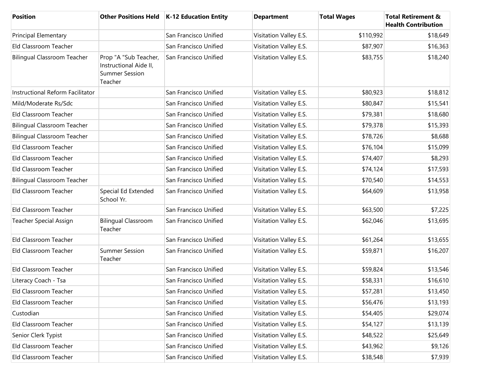| <b>Position</b>                    | <b>Other Positions Held</b>                                                         | <b>K-12 Education Entity</b> | <b>Department</b>      | <b>Total Wages</b> | <b>Total Retirement &amp;</b><br><b>Health Contribution</b> |
|------------------------------------|-------------------------------------------------------------------------------------|------------------------------|------------------------|--------------------|-------------------------------------------------------------|
| <b>Principal Elementary</b>        |                                                                                     | San Francisco Unified        | Visitation Valley E.S. | \$110,992          | \$18,649                                                    |
| Eld Classroom Teacher              |                                                                                     | San Francisco Unified        | Visitation Valley E.S. | \$87,907           | \$16,363                                                    |
| <b>Bilingual Classroom Teacher</b> | Prop "A "Sub Teacher,<br>Instructional Aide II,<br><b>Summer Session</b><br>Teacher | San Francisco Unified        | Visitation Valley E.S. | \$83,755           | \$18,240                                                    |
| Instructional Reform Facilitator   |                                                                                     | San Francisco Unified        | Visitation Valley E.S. | \$80,923           | \$18,812                                                    |
| Mild/Moderate Rs/Sdc               |                                                                                     | San Francisco Unified        | Visitation Valley E.S. | \$80,847           | \$15,541                                                    |
| Eld Classroom Teacher              |                                                                                     | San Francisco Unified        | Visitation Valley E.S. | \$79,381           | \$18,680                                                    |
| <b>Bilingual Classroom Teacher</b> |                                                                                     | San Francisco Unified        | Visitation Valley E.S. | \$79,378           | \$15,393                                                    |
| <b>Bilingual Classroom Teacher</b> |                                                                                     | San Francisco Unified        | Visitation Valley E.S. | \$78,726           | \$8,688                                                     |
| Eld Classroom Teacher              |                                                                                     | San Francisco Unified        | Visitation Valley E.S. | \$76,104           | \$15,099                                                    |
| Eld Classroom Teacher              |                                                                                     | San Francisco Unified        | Visitation Valley E.S. | \$74,407           | \$8,293                                                     |
| Eld Classroom Teacher              |                                                                                     | San Francisco Unified        | Visitation Valley E.S. | \$74,124           | \$17,593                                                    |
| <b>Bilingual Classroom Teacher</b> |                                                                                     | San Francisco Unified        | Visitation Valley E.S. | \$70,540           | \$14,553                                                    |
| Eld Classroom Teacher              | Special Ed Extended<br>School Yr.                                                   | San Francisco Unified        | Visitation Valley E.S. | \$64,609           | \$13,958                                                    |
| Eld Classroom Teacher              |                                                                                     | San Francisco Unified        | Visitation Valley E.S. | \$63,500           | \$7,225                                                     |
| <b>Teacher Special Assign</b>      | <b>Bilingual Classroom</b><br>Teacher                                               | San Francisco Unified        | Visitation Valley E.S. | \$62,046           | \$13,695                                                    |
| Eld Classroom Teacher              |                                                                                     | San Francisco Unified        | Visitation Valley E.S. | \$61,264           | \$13,655                                                    |
| Eld Classroom Teacher              | <b>Summer Session</b><br>Teacher                                                    | San Francisco Unified        | Visitation Valley E.S. | \$59,871           | \$16,207                                                    |
| Eld Classroom Teacher              |                                                                                     | San Francisco Unified        | Visitation Valley E.S. | \$59,824           | \$13,546                                                    |
| Literacy Coach - Tsa               |                                                                                     | San Francisco Unified        | Visitation Valley E.S. | \$58,331           | \$16,610                                                    |
| Eld Classroom Teacher              |                                                                                     | San Francisco Unified        | Visitation Valley E.S. | \$57,281           | \$13,450                                                    |
| Eld Classroom Teacher              |                                                                                     | San Francisco Unified        | Visitation Valley E.S. | \$56,476           | \$13,193                                                    |
| Custodian                          |                                                                                     | San Francisco Unified        | Visitation Valley E.S. | \$54,405           | \$29,074                                                    |
| Eld Classroom Teacher              |                                                                                     | San Francisco Unified        | Visitation Valley E.S. | \$54,127           | \$13,139                                                    |
| Senior Clerk Typist                |                                                                                     | San Francisco Unified        | Visitation Valley E.S. | \$48,522           | \$25,649                                                    |
| Eld Classroom Teacher              |                                                                                     | San Francisco Unified        | Visitation Valley E.S. | \$43,962           | \$9,126                                                     |
| Eld Classroom Teacher              |                                                                                     | San Francisco Unified        | Visitation Valley E.S. | \$38,548           | \$7,939                                                     |